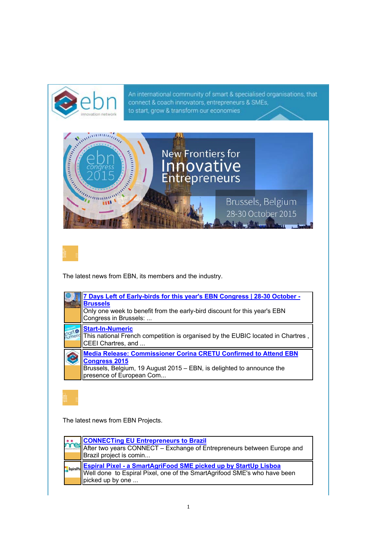

| <b>CONNECTIng EU Entrepreneurs to Brazil<br/>After two years CONNECT – Exchange of Entrepreneurs between Europe and</b><br>Brazil project is comin                  |
|---------------------------------------------------------------------------------------------------------------------------------------------------------------------|
| <b>Espiral Pixel - a SmartAgriFood SME picked up by StartUp Lisboa</b> Well done to Espiral Pixel, one of the SmartAgrifood SME's who have been<br>picked up by one |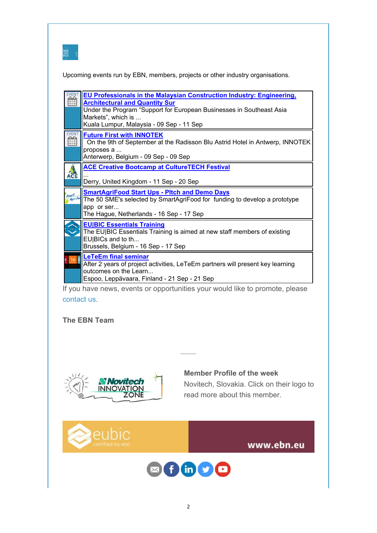

Upcoming events run by EBN, members, projects or other industry organisations.

|                   | EU Professionals in the Malaysian Construction Industry: Engineering,<br><b>Architectural and Quantity Sur</b><br>Under the Program "Support for European Businesses in Southeast Asia<br>Markets", which is<br>Kuala Lumpur, Malaysia - 09 Sep - 11 Sep |
|-------------------|----------------------------------------------------------------------------------------------------------------------------------------------------------------------------------------------------------------------------------------------------------|
|                   | <b>Future First with INNOTEK</b><br>On the 9th of September at the Radisson Blu Astrid Hotel in Antwerp, INNOTEK<br>proposes a<br>Anterwerp, Belgium - 09 Sep - 09 Sep                                                                                   |
| ACE               | <b>ACE Creative Bootcamp at CultureTECH Festival</b><br>Derry, United Kingdom - 11 Sep - 20 Sep                                                                                                                                                          |
| Smart<br>Agri-Foo | <b>SmartAgriFood Start Ups - Pltch and Demo Days</b><br>The 50 SME's selected by SmartAgriFood for funding to develop a prototype<br>app or ser<br>The Hague, Netherlands - 16 Sep - 17 Sep                                                              |
|                   | <b>EU BIC Essentials Training</b><br>The EU BIC Essentials Training is aimed at new staff members of existing<br>EU BICs and to th<br>Brussels, Belgium - 16 Sep - 17 Sep                                                                                |
|                   | <b>LeTeEm final seminar</b><br>After 2 years of project activities, LeTeEm partners will present key learning                                                                                                                                            |

If you have news, events or opportunities your would like to promote, please contact us.

## **The EBN Team**



## **Member Profile of the week**

Novitech, Slovakia. Click on their logo to read more about this member.



www.ebn.eu